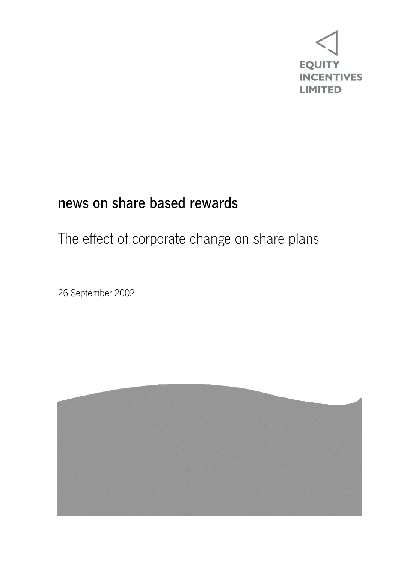

## news on share based rewards

## The effect of corporate change on share plans

26 September 2002

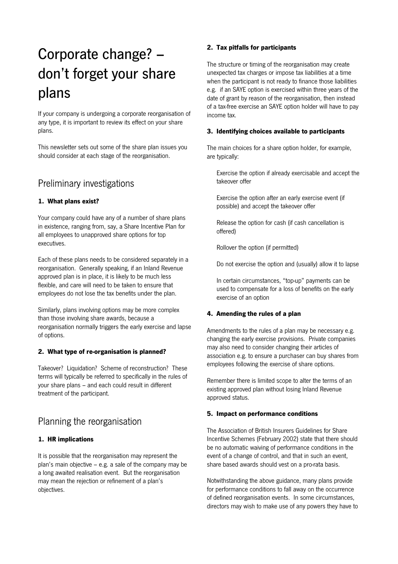# Corporate change? – don't forget your share plans

If your company is undergoing a corporate reorganisation of any type, it is important to review its effect on your share plans.

This newsletter sets out some of the share plan issues you should consider at each stage of the reorganisation.

### Preliminary investigations

### **1. What plans exist?**

Your company could have any of a number of share plans in existence, ranging from, say, a Share Incentive Plan for all employees to unapproved share options for top executives.

Each of these plans needs to be considered separately in a reorganisation. Generally speaking, if an Inland Revenue approved plan is in place, it is likely to be much less flexible, and care will need to be taken to ensure that employees do not lose the tax benefits under the plan.

Similarly, plans involving options may be more complex than those involving share awards, because a reorganisation normally triggers the early exercise and lapse of options.

### **2. What type of re-organisation is planned?**

Takeover? Liquidation? Scheme of reconstruction? These terms will typically be referred to specifically in the rules of your share plans – and each could result in different treatment of the participant.

### Planning the reorganisation

### **1. HR implications**

It is possible that the reorganisation may represent the plan's main objective – e.g. a sale of the company may be a long awaited realisation event. But the reorganisation may mean the rejection or refinement of a plan's objectives.

### **2. Tax pitfalls for participants**

The structure or timing of the reorganisation may create unexpected tax charges or impose tax liabilities at a time when the participant is not ready to finance those liabilities e.g. if an SAYE option is exercised within three years of the date of grant by reason of the reorganisation, then instead of a tax-free exercise an SAYE option holder will have to pay income tax.

### **3. Identifying choices available to participants**

The main choices for a share option holder, for example, are typically:

 Exercise the option if already exercisable and accept the takeover offer

 Exercise the option after an early exercise event (if possible) and accept the takeover offer

 Release the option for cash (if cash cancellation is offered)

Rollover the option (if permitted)

Do not exercise the option and (usually) allow it to lapse

 In certain circumstances, "top-up" payments can be used to compensate for a loss of benefits on the early exercise of an option

### **4. Amending the rules of a plan**

Amendments to the rules of a plan may be necessary e.g. changing the early exercise provisions. Private companies may also need to consider changing their articles of association e.g. to ensure a purchaser can buy shares from employees following the exercise of share options.

Remember there is limited scope to alter the terms of an existing approved plan without losing Inland Revenue approved status.

### **5. Impact on performance conditions**

The Association of British Insurers Guidelines for Share Incentive Schemes (February 2002) state that there should be no automatic waiving of performance conditions in the event of a change of control, and that in such an event, share based awards should vest on a pro-rata basis.

Notwithstanding the above guidance, many plans provide for performance conditions to fall away on the occurrence of defined reorganisation events. In some circumstances, directors may wish to make use of any powers they have to